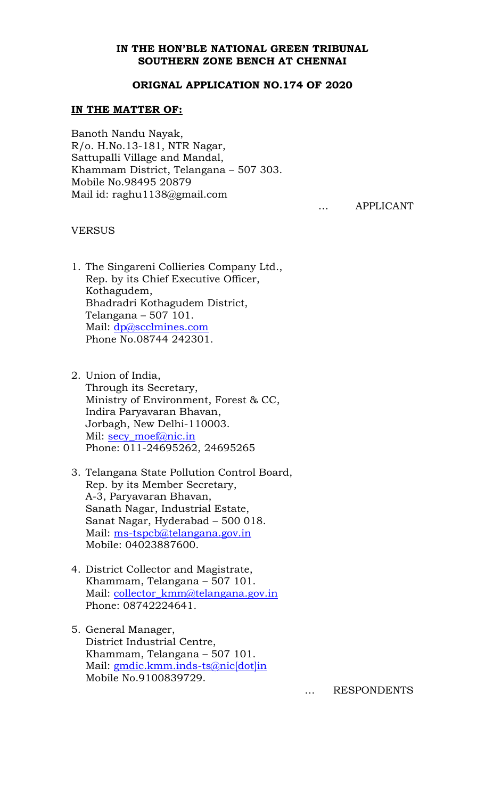### **IN THE HON'BLE NATIONAL GREEN TRIBUNAL SOUTHERN ZONE BENCH AT CHENNAI**

#### **ORIGNAL APPLICATION NO.174 OF 2020**

### **IN THE MATTER OF:**

Banoth Nandu Nayak, R/o. H.No.13-181, NTR Nagar, Sattupalli Village and Mandal, Khammam District, Telangana – 507 303. Mobile No.98495 20879 Mail id: raghu1138@gmail.com

… APPLICANT

#### **VERSUS**

- 1. The Singareni Collieries Company Ltd., Rep. by its Chief Executive Officer, Kothagudem, Bhadradri Kothagudem District, Telangana – 507 101. Mail: [dp@scclmines.com](mailto:dp@scclmines.com) Phone No.08744 242301.
- 2. Union of India, Through its Secretary, Ministry of Environment, Forest & CC, Indira Paryavaran Bhavan, Jorbagh, New Delhi-110003. Mil: [secy\\_moef@nic.in](mailto:secy_moef@nic.in) Phone: 011-24695262, 24695265
- 3. Telangana State Pollution Control Board, Rep. by its Member Secretary, A-3, Paryavaran Bhavan, Sanath Nagar, Industrial Estate, Sanat Nagar, Hyderabad – 500 018. Mail: [ms-tspcb@telangana.gov.in](mailto:ms-tspcb@telangana.gov.in) Mobile: 04023887600.
- 4. District Collector and Magistrate, Khammam, Telangana – 507 101. Mail: collector kmm@telangana.gov.in Phone: 08742224641.
- 5. General Manager, District Industrial Centre, Khammam, Telangana – 507 101. Mail: [gmdic.kmm.inds-ts@nic\[dot\]in](mailto:gmdic.kmm.inds-ts@nic[dot]in) Mobile No.9100839729.

… RESPONDENTS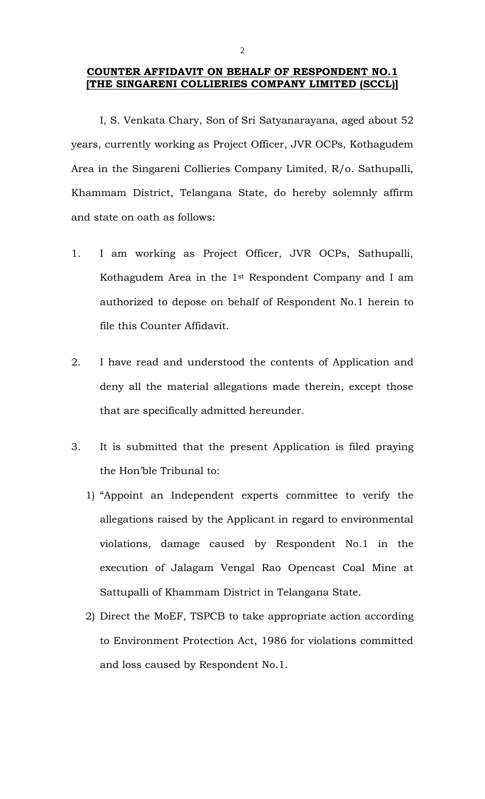### **COUNTER AFFIDAVIT ON BEHALF OF RESPONDENT NO.1 [THE SINGARENI COLLIERIES COMPANY LIMITED (SCCL)]**

I, S. Venkata Chary, Son of Sri Satyanarayana, aged about 52 years, currently working as Project Officer, JVR OCPs, Kothagudem Area in the Singareni Collieries Company Limited, R/o. Sathupalli, Khammam District, Telangana State, do hereby solemnly affirm and state on oath as follows:

- 1. I am working as Project Officer, JVR OCPs, Sathupalli, Kothagudem Area in the 1st Respondent Company and I am authorized to depose on behalf of Respondent No.1 herein to file this Counter Affidavit.
- 2. I have read and understood the contents of Application and deny all the material allegations made therein, except those that are specifically admitted hereunder.
- 3. It is submitted that the present Application is filed praying the Hon'ble Tribunal to:
	- 1) "Appoint an Independent experts committee to verify the allegations raised by the Applicant in regard to environmental violations, damage caused by Respondent No.1 in the execution of Jalagam Vengal Rao Opencast Coal Mine at Sattupalli of Khammam District in Telangana State.
	- 2) Direct the MoEF, TSPCB to take appropriate action according to Environment Protection Act, 1986 for violations committed and loss caused by Respondent No.1.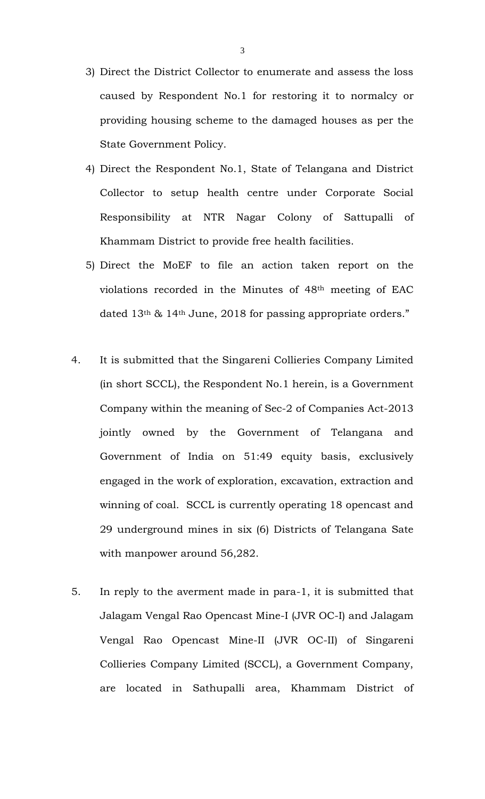- 3) Direct the District Collector to enumerate and assess the loss caused by Respondent No.1 for restoring it to normalcy or providing housing scheme to the damaged houses as per the State Government Policy.
- 4) Direct the Respondent No.1, State of Telangana and District Collector to setup health centre under Corporate Social Responsibility at NTR Nagar Colony of Sattupalli of Khammam District to provide free health facilities.
- 5) Direct the MoEF to file an action taken report on the violations recorded in the Minutes of 48th meeting of EAC dated 13th & 14th June, 2018 for passing appropriate orders."
- 4. It is submitted that the Singareni Collieries Company Limited (in short SCCL), the Respondent No.1 herein, is a Government Company within the meaning of Sec-2 of Companies Act-2013 jointly owned by the Government of Telangana and Government of India on 51:49 equity basis, exclusively engaged in the work of exploration, excavation, extraction and winning of coal. SCCL is currently operating 18 opencast and 29 underground mines in six (6) Districts of Telangana Sate with manpower around 56,282.
- 5. In reply to the averment made in para-1, it is submitted that Jalagam Vengal Rao Opencast Mine-I (JVR OC-I) and Jalagam Vengal Rao Opencast Mine-II (JVR OC-II) of Singareni Collieries Company Limited (SCCL), a Government Company, are located in Sathupalli area, Khammam District of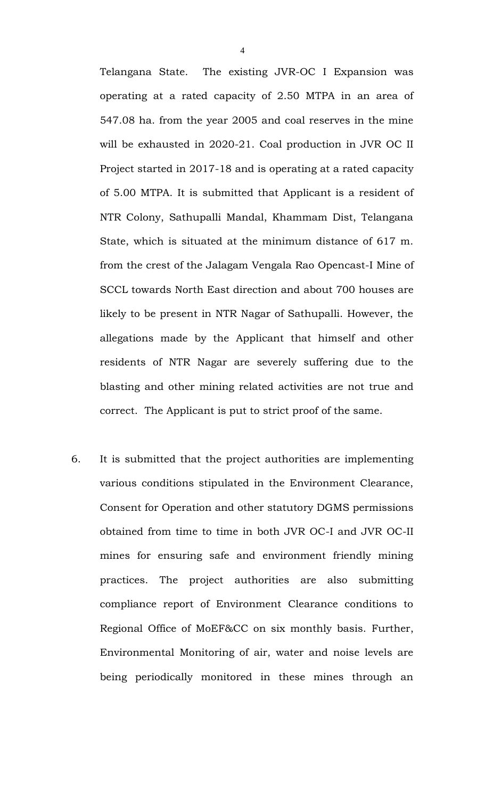Telangana State. The existing JVR-OC I Expansion was operating at a rated capacity of 2.50 MTPA in an area of 547.08 ha. from the year 2005 and coal reserves in the mine will be exhausted in 2020-21. Coal production in JVR OC II Project started in 2017-18 and is operating at a rated capacity of 5.00 MTPA. It is submitted that Applicant is a resident of NTR Colony, Sathupalli Mandal, Khammam Dist, Telangana State, which is situated at the minimum distance of 617 m. from the crest of the Jalagam Vengala Rao Opencast-I Mine of SCCL towards North East direction and about 700 houses are likely to be present in NTR Nagar of Sathupalli. However, the allegations made by the Applicant that himself and other residents of NTR Nagar are severely suffering due to the blasting and other mining related activities are not true and correct. The Applicant is put to strict proof of the same.

6. It is submitted that the project authorities are implementing various conditions stipulated in the Environment Clearance, Consent for Operation and other statutory DGMS permissions obtained from time to time in both JVR OC-I and JVR OC-II mines for ensuring safe and environment friendly mining practices. The project authorities are also submitting compliance report of Environment Clearance conditions to Regional Office of MoEF&CC on six monthly basis. Further, Environmental Monitoring of air, water and noise levels are being periodically monitored in these mines through an

4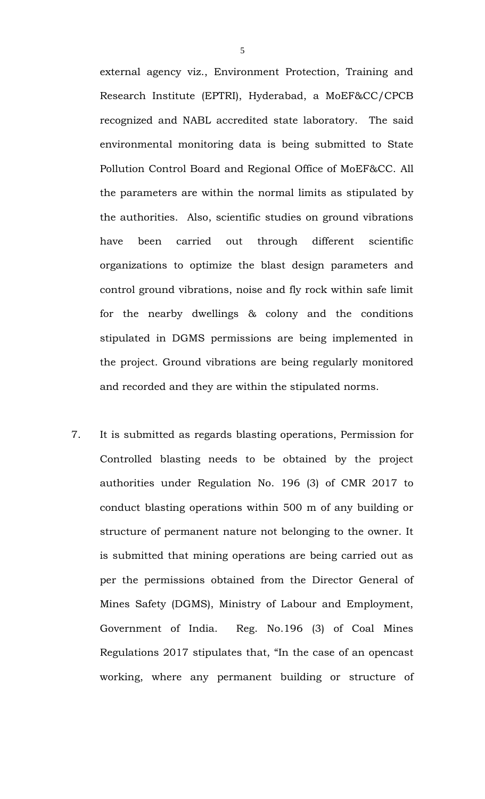external agency viz., Environment Protection, Training and Research Institute (EPTRI), Hyderabad, a MoEF&CC/CPCB recognized and NABL accredited state laboratory. The said environmental monitoring data is being submitted to State Pollution Control Board and Regional Office of MoEF&CC. All the parameters are within the normal limits as stipulated by the authorities. Also, scientific studies on ground vibrations have been carried out through different scientific organizations to optimize the blast design parameters and control ground vibrations, noise and fly rock within safe limit for the nearby dwellings & colony and the conditions stipulated in DGMS permissions are being implemented in the project. Ground vibrations are being regularly monitored and recorded and they are within the stipulated norms.

7. It is submitted as regards blasting operations, Permission for Controlled blasting needs to be obtained by the project authorities under Regulation No. 196 (3) of CMR 2017 to conduct blasting operations within 500 m of any building or structure of permanent nature not belonging to the owner. It is submitted that mining operations are being carried out as per the permissions obtained from the Director General of Mines Safety (DGMS), Ministry of Labour and Employment, Government of India. Reg. No.196 (3) of Coal Mines Regulations 2017 stipulates that, "In the case of an opencast working, where any permanent building or structure of

5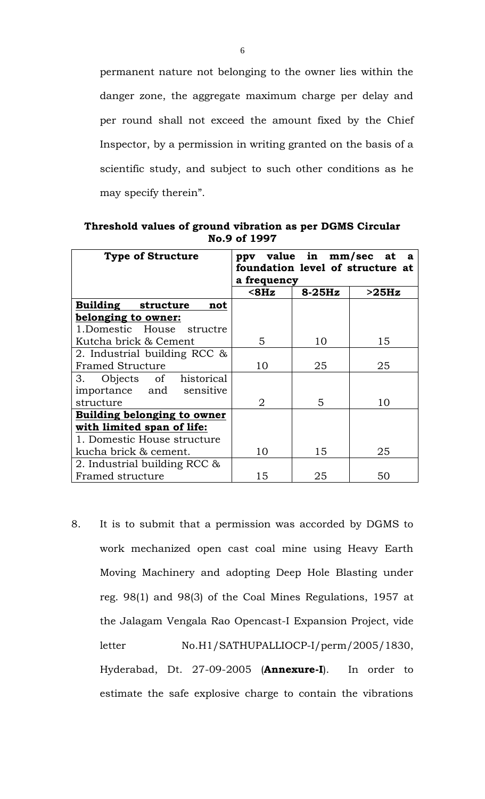permanent nature not belonging to the owner lies within the danger zone, the aggregate maximum charge per delay and per round shall not exceed the amount fixed by the Chief Inspector, by a permission in writing granted on the basis of a scientific study, and subject to such other conditions as he may specify therein".

**Threshold values of ground vibration as per DGMS Circular No.9 of 1997**

| <b>Type of Structure</b>           | ppv         | value in mm/sec at | a                                |
|------------------------------------|-------------|--------------------|----------------------------------|
|                                    |             |                    | foundation level of structure at |
|                                    | a frequency |                    |                                  |
|                                    | $8Hz$       | $8-25Hz$           | >25Hz                            |
| Building structure<br>not          |             |                    |                                  |
| belonging to owner:                |             |                    |                                  |
| 1. Domestic House structre         |             |                    |                                  |
| Kutcha brick & Cement              | 5           | 10                 | 15                               |
| 2. Industrial building RCC &       |             |                    |                                  |
| <b>Framed Structure</b>            | 10          | 25                 | 25                               |
| Objects of historical<br>3.        |             |                    |                                  |
| importance and sensitive           |             |                    |                                  |
| structure                          | 2           | 5                  | 10                               |
| <b>Building belonging to owner</b> |             |                    |                                  |
| with limited span of life:         |             |                    |                                  |
| 1. Domestic House structure        |             |                    |                                  |
| kucha brick & cement.              | 10          | 15                 | 25                               |
| 2. Industrial building RCC &       |             |                    |                                  |
| Framed structure                   | 15          | 25                 | 50                               |

8. It is to submit that a permission was accorded by DGMS to work mechanized open cast coal mine using Heavy Earth Moving Machinery and adopting Deep Hole Blasting under reg. 98(1) and 98(3) of the Coal Mines Regulations, 1957 at the Jalagam Vengala Rao Opencast-I Expansion Project, vide letter No.H1/SATHUPALLIOCP-I/perm/2005/1830, Hyderabad, Dt. 27-09-2005 (**Annexure-I**). In order to estimate the safe explosive charge to contain the vibrations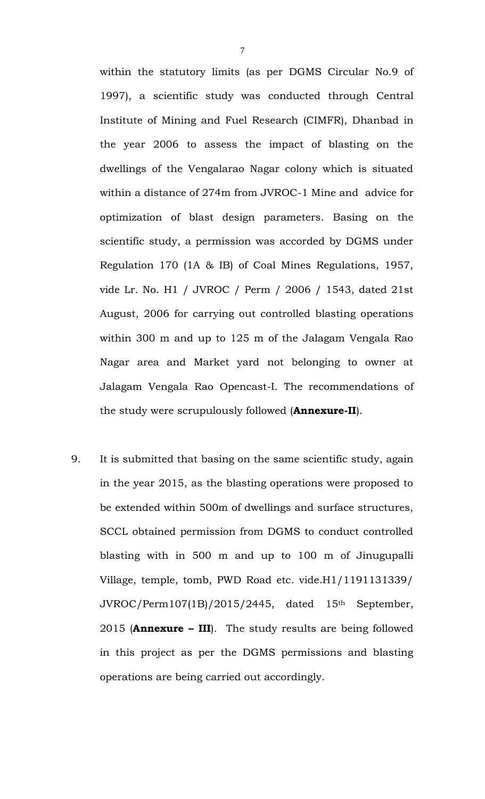within the statutory limits (as per DGMS Circular No.9 of 1997), a scientific study was conducted through Central Institute of Mining and Fuel Research (CIMFR), Dhanbad in the year 2006 to assess the impact of blasting on the dwellings of the Vengalarao Nagar colony which is situated within a distance of 274m from JVROC-1 Mine and advice for optimization of blast design parameters. Basing on the scientific study, a permission was accorded by DGMS under Regulation 170 (1A & IB) of Coal Mines Regulations, 1957, vide Lr. No. H1 / JVROC / Perm / 2006 / 1543, dated 21st August, 2006 for carrying out controlled blasting operations within 300 m and up to 125 m of the Jalagam Vengala Rao Nagar area and Market yard not belonging to owner at Jalagam Vengala Rao Opencast-I. The recommendations of the study were scrupulously followed (**Annexure-II**).

9. It is submitted that basing on the same scientific study, again in the year 2015, as the blasting operations were proposed to be extended within 500m of dwellings and surface structures, SCCL obtained permission from DGMS to conduct controlled blasting with in 500 m and up to 100 m of Jinugupalli Village, temple, tomb, PWD Road etc. vide.H1/1191131339/ JVROC/Perm107(1B)/2015/2445, dated 15th September, 2015 (**Annexure – III**). The study results are being followed in this project as per the DGMS permissions and blasting operations are being carried out accordingly.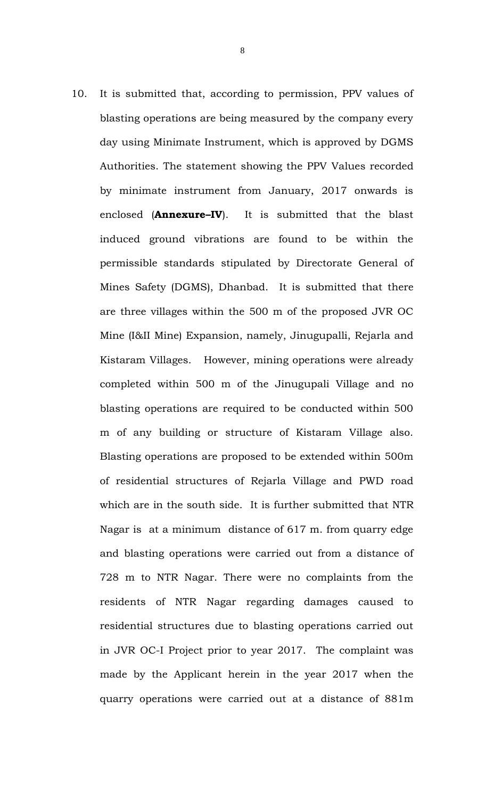10. It is submitted that, according to permission, PPV values of blasting operations are being measured by the company every day using Minimate Instrument, which is approved by DGMS Authorities. The statement showing the PPV Values recorded by minimate instrument from January, 2017 onwards is enclosed (**Annexure–IV**). It is submitted that the blast induced ground vibrations are found to be within the permissible standards stipulated by Directorate General of Mines Safety (DGMS), Dhanbad. It is submitted that there are three villages within the 500 m of the proposed JVR OC Mine (I&II Mine) Expansion, namely, Jinugupalli, Rejarla and Kistaram Villages. However, mining operations were already completed within 500 m of the Jinugupali Village and no blasting operations are required to be conducted within 500 m of any building or structure of Kistaram Village also. Blasting operations are proposed to be extended within 500m of residential structures of Rejarla Village and PWD road which are in the south side. It is further submitted that NTR Nagar is at a minimum distance of 617 m. from quarry edge and blasting operations were carried out from a distance of 728 m to NTR Nagar. There were no complaints from the residents of NTR Nagar regarding damages caused to residential structures due to blasting operations carried out in JVR OC-I Project prior to year 2017. The complaint was made by the Applicant herein in the year 2017 when the quarry operations were carried out at a distance of 881m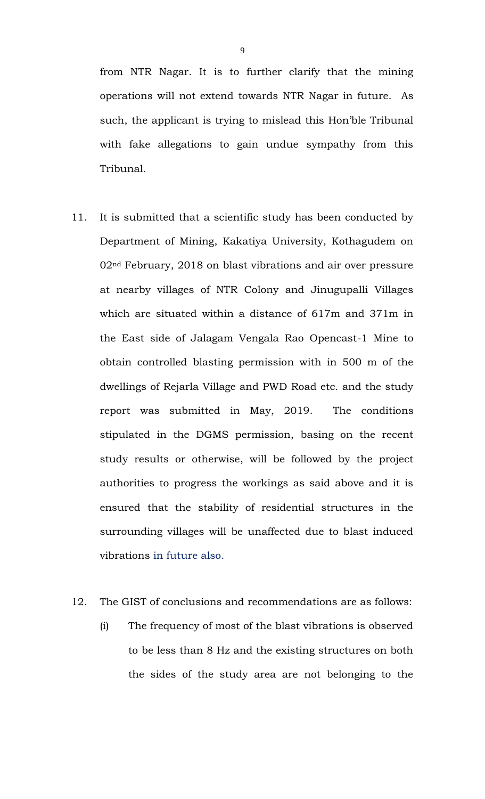from NTR Nagar. It is to further clarify that the mining operations will not extend towards NTR Nagar in future. As such, the applicant is trying to mislead this Hon'ble Tribunal with fake allegations to gain undue sympathy from this Tribunal.

11. It is submitted that a scientific study has been conducted by Department of Mining, Kakatiya University, Kothagudem on 02nd February, 2018 on blast vibrations and air over pressure at nearby villages of NTR Colony and Jinugupalli Villages which are situated within a distance of 617m and 371m in the East side of Jalagam Vengala Rao Opencast-1 Mine to obtain controlled blasting permission with in 500 m of the dwellings of Rejarla Village and PWD Road etc. and the study report was submitted in May, 2019. The conditions stipulated in the DGMS permission, basing on the recent study results or otherwise, will be followed by the project authorities to progress the workings as said above and it is ensured that the stability of residential structures in the surrounding villages will be unaffected due to blast induced vibrations in future also.

### 12. The GIST of conclusions and recommendations are as follows:

(i) The frequency of most of the blast vibrations is observed to be less than 8 Hz and the existing structures on both the sides of the study area are not belonging to the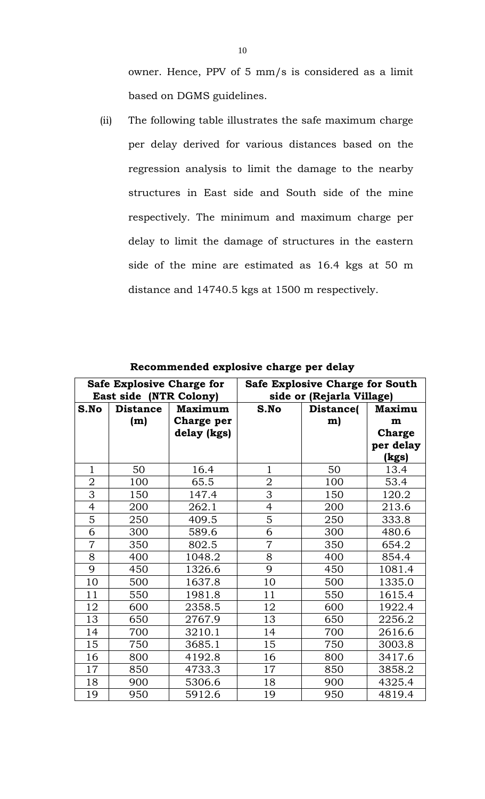owner. Hence, PPV of 5 mm/s is considered as a limit based on DGMS guidelines.

(ii) The following table illustrates the safe maximum charge per delay derived for various distances based on the regression analysis to limit the damage to the nearby structures in East side and South side of the mine respectively. The minimum and maximum charge per delay to limit the damage of structures in the eastern side of the mine are estimated as 16.4 kgs at 50 m distance and 14740.5 kgs at 1500 m respectively.

| <b>Safe Explosive Charge for</b><br>East side (NTR Colony) |                 |                | <b>Safe Explosive Charge for South</b><br>side or (Rejarla Village) |           |               |
|------------------------------------------------------------|-----------------|----------------|---------------------------------------------------------------------|-----------|---------------|
| S.No                                                       | <b>Distance</b> | <b>Maximum</b> | S.No                                                                | Distance( | <b>Maximu</b> |
|                                                            | (m)             | Charge per     |                                                                     | m)        | m             |
|                                                            |                 | delay (kgs)    |                                                                     |           | <b>Charge</b> |
|                                                            |                 |                |                                                                     |           | per delay     |
|                                                            |                 |                |                                                                     |           | (kgs)         |
| $\mathbf{1}$                                               | 50              | 16.4           | 1                                                                   | 50        | 13.4          |
| $\overline{2}$                                             | 100             | 65.5           | $\overline{2}$                                                      | 100       | 53.4          |
| 3                                                          | 150             | 147.4          | 3                                                                   | 150       | 120.2         |
| $\overline{4}$                                             | 200             | 262.1          | $\overline{4}$                                                      | 200       | 213.6         |
| 5                                                          | 250             | 409.5          | 5                                                                   | 250       | 333.8         |
| 6                                                          | 300             | 589.6          | 6                                                                   | 300       | 480.6         |
| $\overline{7}$                                             | 350             | 802.5          | $\overline{7}$                                                      | 350       | 654.2         |
| 8                                                          | 400             | 1048.2         | 8                                                                   | 400       | 854.4         |
| 9                                                          | 450             | 1326.6         | 9                                                                   | 450       | 1081.4        |
| 10                                                         | 500             | 1637.8         | 10                                                                  | 500       | 1335.0        |
| 11                                                         | 550             | 1981.8         | 11                                                                  | 550       | 1615.4        |
| 12                                                         | 600             | 2358.5         | 12                                                                  | 600       | 1922.4        |
| 13                                                         | 650             | 2767.9         | 13                                                                  | 650       | 2256.2        |
| 14                                                         | 700             | 3210.1         | 14                                                                  | 700       | 2616.6        |
| 15                                                         | 750             | 3685.1         | 15                                                                  | 750       | 3003.8        |
| 16                                                         | 800             | 4192.8         | 16                                                                  | 800       | 3417.6        |
| 17                                                         | 850             | 4733.3         | 17                                                                  | 850       | 3858.2        |
| 18                                                         | 900             | 5306.6         | 18                                                                  | 900       | 4325.4        |
| 19                                                         | 950             | 5912.6         | 19                                                                  | 950       | 4819.4        |

**Recommended explosive charge per delay**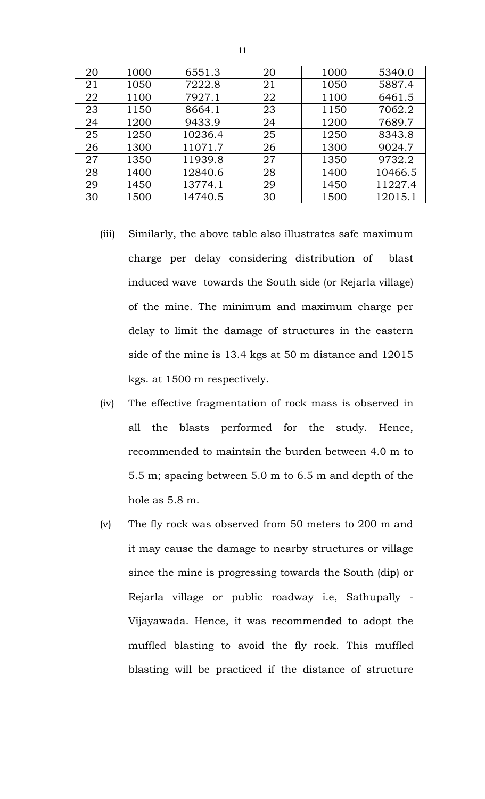| 20 | 1000 | 6551.3  | 20 | 1000 | 5340.0  |
|----|------|---------|----|------|---------|
| 21 | 1050 | 7222.8  | 21 | 1050 | 5887.4  |
| 22 | 1100 | 7927.1  | 22 | 1100 | 6461.5  |
| 23 | 1150 | 8664.1  | 23 | 1150 | 7062.2  |
| 24 | 1200 | 9433.9  | 24 | 1200 | 7689.7  |
| 25 | 1250 | 10236.4 | 25 | 1250 | 8343.8  |
| 26 | 1300 | 11071.7 | 26 | 1300 | 9024.7  |
| 27 | 1350 | 11939.8 | 27 | 1350 | 9732.2  |
| 28 | 1400 | 12840.6 | 28 | 1400 | 10466.5 |
| 29 | 1450 | 13774.1 | 29 | 1450 | 11227.4 |
| 30 | 1500 | 14740.5 | 30 | 1500 | 12015.1 |

- (iii) Similarly, the above table also illustrates safe maximum charge per delay considering distribution of blast induced wave towards the South side (or Rejarla village) of the mine. The minimum and maximum charge per delay to limit the damage of structures in the eastern side of the mine is 13.4 kgs at 50 m distance and 12015 kgs. at 1500 m respectively.
- (iv) The effective fragmentation of rock mass is observed in all the blasts performed for the study. Hence, recommended to maintain the burden between 4.0 m to 5.5 m; spacing between 5.0 m to 6.5 m and depth of the hole as 5.8 m.
- (v) The fly rock was observed from 50 meters to 200 m and it may cause the damage to nearby structures or village since the mine is progressing towards the South (dip) or Rejarla village or public roadway i.e, Sathupally - Vijayawada. Hence, it was recommended to adopt the muffled blasting to avoid the fly rock. This muffled blasting will be practiced if the distance of structure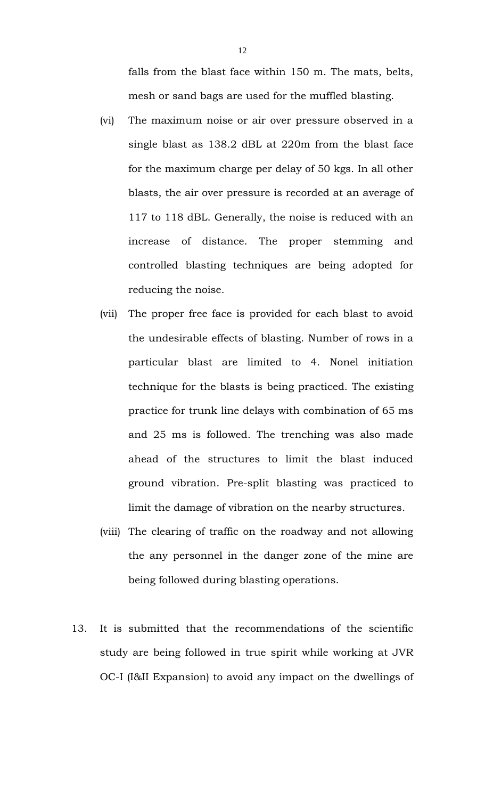falls from the blast face within 150 m. The mats, belts, mesh or sand bags are used for the muffled blasting.

- (vi) The maximum noise or air over pressure observed in a single blast as 138.2 dBL at 220m from the blast face for the maximum charge per delay of 50 kgs. In all other blasts, the air over pressure is recorded at an average of 117 to 118 dBL. Generally, the noise is reduced with an increase of distance. The proper stemming and controlled blasting techniques are being adopted for reducing the noise.
- (vii) The proper free face is provided for each blast to avoid the undesirable effects of blasting. Number of rows in a particular blast are limited to 4. Nonel initiation technique for the blasts is being practiced. The existing practice for trunk line delays with combination of 65 ms and 25 ms is followed. The trenching was also made ahead of the structures to limit the blast induced ground vibration. Pre-split blasting was practiced to limit the damage of vibration on the nearby structures.
- (viii) The clearing of traffic on the roadway and not allowing the any personnel in the danger zone of the mine are being followed during blasting operations.
- 13. It is submitted that the recommendations of the scientific study are being followed in true spirit while working at JVR OC-I (I&II Expansion) to avoid any impact on the dwellings of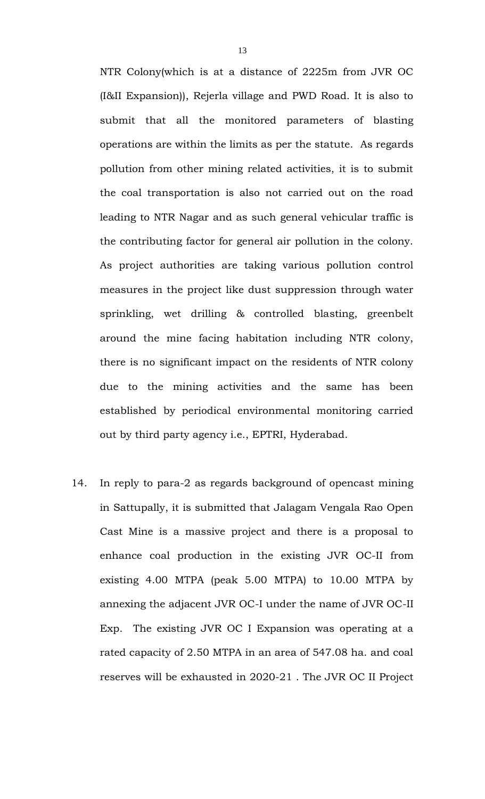NTR Colony(which is at a distance of 2225m from JVR OC (I&II Expansion)), Rejerla village and PWD Road. It is also to submit that all the monitored parameters of blasting operations are within the limits as per the statute. As regards pollution from other mining related activities, it is to submit the coal transportation is also not carried out on the road leading to NTR Nagar and as such general vehicular traffic is the contributing factor for general air pollution in the colony. As project authorities are taking various pollution control measures in the project like dust suppression through water sprinkling, wet drilling & controlled blasting, greenbelt around the mine facing habitation including NTR colony, there is no significant impact on the residents of NTR colony due to the mining activities and the same has been established by periodical environmental monitoring carried out by third party agency i.e., EPTRI, Hyderabad.

14. In reply to para-2 as regards background of opencast mining in Sattupally, it is submitted that Jalagam Vengala Rao Open Cast Mine is a massive project and there is a proposal to enhance coal production in the existing JVR OC-II from existing 4.00 MTPA (peak 5.00 MTPA) to 10.00 MTPA by annexing the adjacent JVR OC-I under the name of JVR OC-II Exp. The existing JVR OC I Expansion was operating at a rated capacity of 2.50 MTPA in an area of 547.08 ha. and coal reserves will be exhausted in 2020-21 . The JVR OC II Project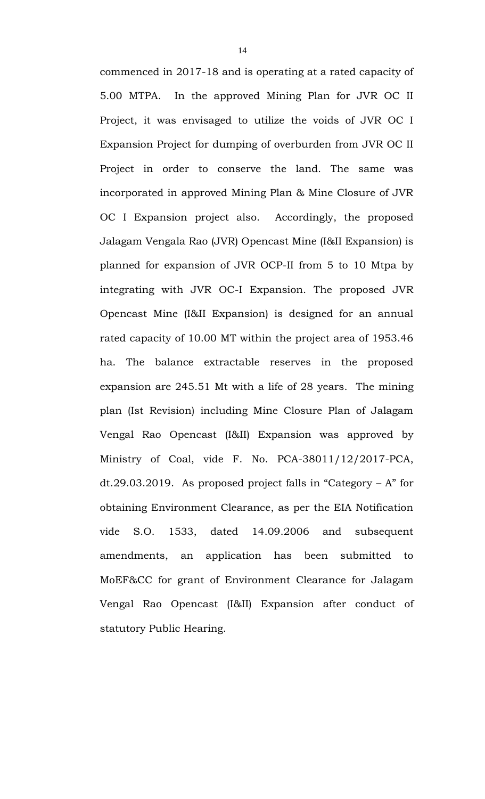commenced in 2017-18 and is operating at a rated capacity of 5.00 MTPA. In the approved Mining Plan for JVR OC II Project, it was envisaged to utilize the voids of JVR OC I Expansion Project for dumping of overburden from JVR OC II Project in order to conserve the land. The same was incorporated in approved Mining Plan & Mine Closure of JVR OC I Expansion project also. Accordingly, the proposed Jalagam Vengala Rao (JVR) Opencast Mine (I&II Expansion) is planned for expansion of JVR OCP-II from 5 to 10 Mtpa by integrating with JVR OC-I Expansion. The proposed JVR Opencast Mine (I&II Expansion) is designed for an annual rated capacity of 10.00 MT within the project area of 1953.46 ha. The balance extractable reserves in the proposed expansion are 245.51 Mt with a life of 28 years. The mining plan (Ist Revision) including Mine Closure Plan of Jalagam Vengal Rao Opencast (I&II) Expansion was approved by Ministry of Coal, vide F. No. PCA-38011/12/2017-PCA, dt.29.03.2019. As proposed project falls in "Category – A" for obtaining Environment Clearance, as per the EIA Notification vide S.O. 1533, dated 14.09.2006 and subsequent amendments, an application has been submitted to MoEF&CC for grant of Environment Clearance for Jalagam Vengal Rao Opencast (I&II) Expansion after conduct of statutory Public Hearing.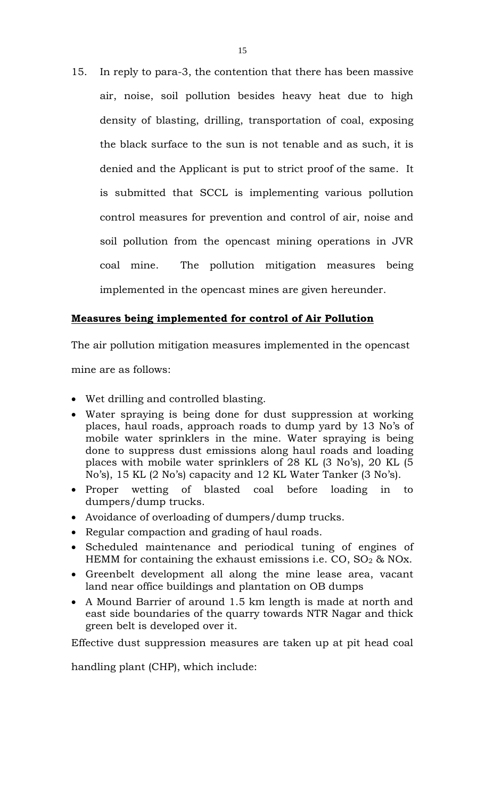15. In reply to para-3, the contention that there has been massive air, noise, soil pollution besides heavy heat due to high density of blasting, drilling, transportation of coal, exposing the black surface to the sun is not tenable and as such, it is denied and the Applicant is put to strict proof of the same. It is submitted that SCCL is implementing various pollution control measures for prevention and control of air, noise and soil pollution from the opencast mining operations in JVR coal mine. The pollution mitigation measures being implemented in the opencast mines are given hereunder.

# **Measures being implemented for control of Air Pollution**

The air pollution mitigation measures implemented in the opencast

mine are as follows:

- Wet drilling and controlled blasting.
- Water spraying is being done for dust suppression at working places, haul roads, approach roads to dump yard by 13 No's of mobile water sprinklers in the mine. Water spraying is being done to suppress dust emissions along haul roads and loading places with mobile water sprinklers of 28 KL (3 No's), 20 KL (5 No's), 15 KL (2 No's) capacity and 12 KL Water Tanker (3 No's).
- Proper wetting of blasted coal before loading in to dumpers/dump trucks.
- Avoidance of overloading of dumpers/dump trucks.
- Regular compaction and grading of haul roads.
- Scheduled maintenance and periodical tuning of engines of HEMM for containing the exhaust emissions i.e.  $CO$ ,  $SO<sub>2</sub>$  & NOx.
- Greenbelt development all along the mine lease area, vacant land near office buildings and plantation on OB dumps
- A Mound Barrier of around 1.5 km length is made at north and east side boundaries of the quarry towards NTR Nagar and thick green belt is developed over it.

Effective dust suppression measures are taken up at pit head coal

handling plant (CHP), which include: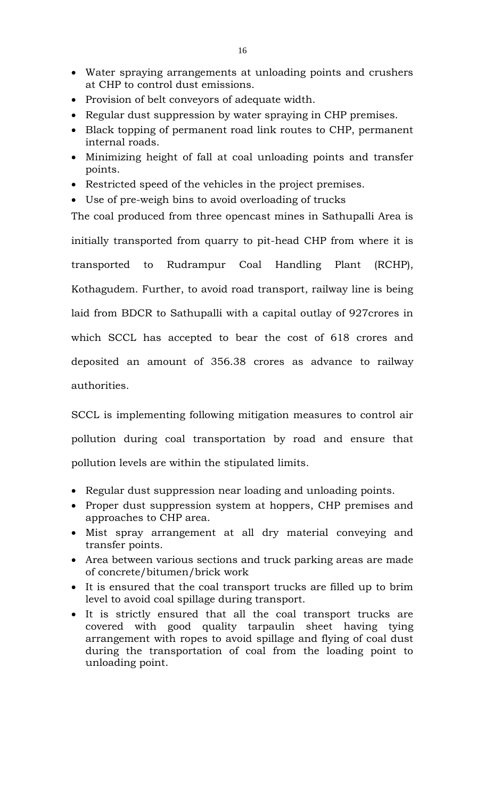- Water spraying arrangements at unloading points and crushers at CHP to control dust emissions.
- Provision of belt conveyors of adequate width.
- Regular dust suppression by water spraying in CHP premises.
- Black topping of permanent road link routes to CHP, permanent internal roads.
- Minimizing height of fall at coal unloading points and transfer points.
- Restricted speed of the vehicles in the project premises.
- Use of pre-weigh bins to avoid overloading of trucks

The coal produced from three opencast mines in Sathupalli Area is initially transported from quarry to pit-head CHP from where it is transported to Rudrampur Coal Handling Plant (RCHP), Kothagudem. Further, to avoid road transport, railway line is being laid from BDCR to Sathupalli with a capital outlay of 927crores in which SCCL has accepted to bear the cost of 618 crores and deposited an amount of 356.38 crores as advance to railway authorities.

SCCL is implementing following mitigation measures to control air pollution during coal transportation by road and ensure that pollution levels are within the stipulated limits.

- Regular dust suppression near loading and unloading points.
- Proper dust suppression system at hoppers, CHP premises and approaches to CHP area.
- Mist spray arrangement at all dry material conveying and transfer points.
- Area between various sections and truck parking areas are made of concrete/bitumen/brick work
- It is ensured that the coal transport trucks are filled up to brim level to avoid coal spillage during transport.
- It is strictly ensured that all the coal transport trucks are covered with good quality tarpaulin sheet having tying arrangement with ropes to avoid spillage and flying of coal dust during the transportation of coal from the loading point to unloading point.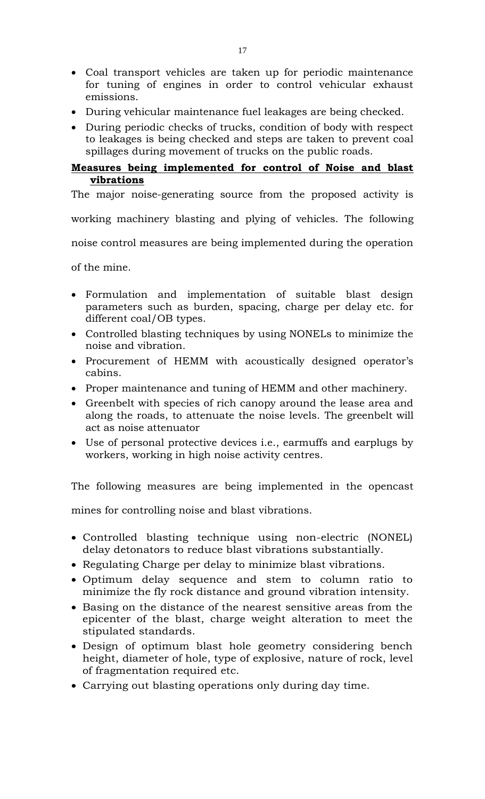- Coal transport vehicles are taken up for periodic maintenance for tuning of engines in order to control vehicular exhaust emissions.
- During vehicular maintenance fuel leakages are being checked.
- During periodic checks of trucks, condition of body with respect to leakages is being checked and steps are taken to prevent coal spillages during movement of trucks on the public roads.

# **Measures being implemented for control of Noise and blast vibrations**

The major noise-generating source from the proposed activity is

working machinery blasting and plying of vehicles. The following

noise control measures are being implemented during the operation

of the mine.

- Formulation and implementation of suitable blast design parameters such as burden, spacing, charge per delay etc. for different coal/OB types.
- Controlled blasting techniques by using NONELs to minimize the noise and vibration.
- Procurement of HEMM with acoustically designed operator's cabins.
- Proper maintenance and tuning of HEMM and other machinery.
- Greenbelt with species of rich canopy around the lease area and along the roads, to attenuate the noise levels. The greenbelt will act as noise attenuator
- Use of personal protective devices i.e., earmuffs and earplugs by workers, working in high noise activity centres.

The following measures are being implemented in the opencast

mines for controlling noise and blast vibrations.

- Controlled blasting technique using non-electric (NONEL) delay detonators to reduce blast vibrations substantially.
- Regulating Charge per delay to minimize blast vibrations.
- Optimum delay sequence and stem to column ratio to minimize the fly rock distance and ground vibration intensity.
- Basing on the distance of the nearest sensitive areas from the epicenter of the blast, charge weight alteration to meet the stipulated standards.
- Design of optimum blast hole geometry considering bench height, diameter of hole, type of explosive, nature of rock, level of fragmentation required etc.
- Carrying out blasting operations only during day time.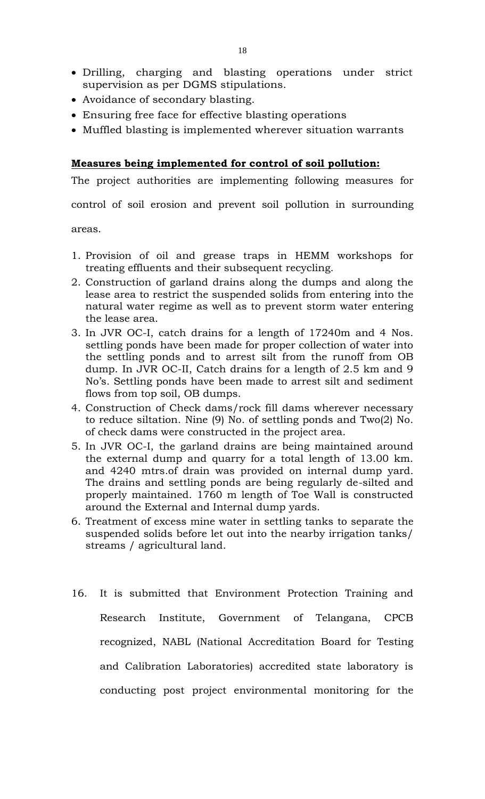- Drilling, charging and blasting operations under strict supervision as per DGMS stipulations.
- Avoidance of secondary blasting.
- Ensuring free face for effective blasting operations
- Muffled blasting is implemented wherever situation warrants

### **Measures being implemented for control of soil pollution:**

The project authorities are implementing following measures for

control of soil erosion and prevent soil pollution in surrounding

areas.

- 1. Provision of oil and grease traps in HEMM workshops for treating effluents and their subsequent recycling.
- 2. Construction of garland drains along the dumps and along the lease area to restrict the suspended solids from entering into the natural water regime as well as to prevent storm water entering the lease area.
- 3. In JVR OC-I, catch drains for a length of 17240m and 4 Nos. settling ponds have been made for proper collection of water into the settling ponds and to arrest silt from the runoff from OB dump. In JVR OC-II, Catch drains for a length of 2.5 km and 9 No's. Settling ponds have been made to arrest silt and sediment flows from top soil, OB dumps.
- 4. Construction of Check dams/rock fill dams wherever necessary to reduce siltation. Nine (9) No. of settling ponds and Two(2) No. of check dams were constructed in the project area.
- 5. In JVR OC-I, the garland drains are being maintained around the external dump and quarry for a total length of 13.00 km. and 4240 mtrs.of drain was provided on internal dump yard. The drains and settling ponds are being regularly de-silted and properly maintained. 1760 m length of Toe Wall is constructed around the External and Internal dump yards.
- 6. Treatment of excess mine water in settling tanks to separate the suspended solids before let out into the nearby irrigation tanks/ streams / agricultural land.
- 16. It is submitted that Environment Protection Training and Research Institute, Government of Telangana, CPCB recognized, NABL (National Accreditation Board for Testing and Calibration Laboratories) accredited state laboratory is conducting post project environmental monitoring for the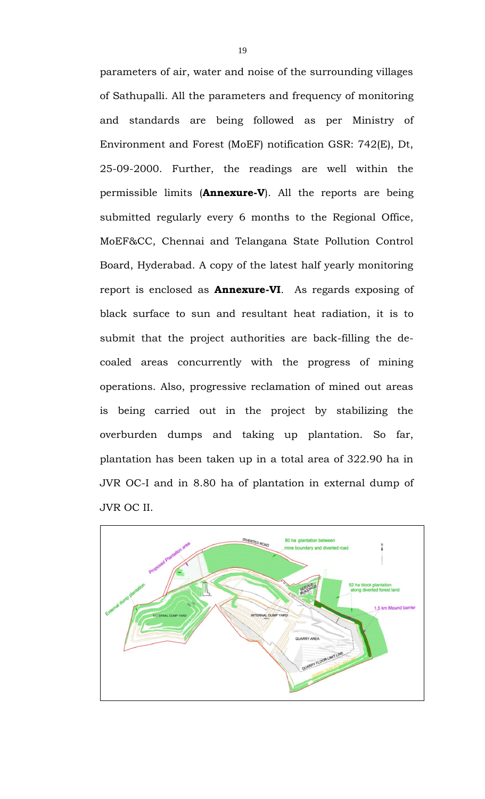parameters of air, water and noise of the surrounding villages of Sathupalli. All the parameters and frequency of monitoring and standards are being followed as per Ministry of Environment and Forest (MoEF) notification GSR: 742(E), Dt, 25-09-2000. Further, the readings are well within the permissible limits (**Annexure-V**). All the reports are being submitted regularly every 6 months to the Regional Office, MoEF&CC, Chennai and Telangana State Pollution Control Board, Hyderabad. A copy of the latest half yearly monitoring report is enclosed as **Annexure-VI**. As regards exposing of black surface to sun and resultant heat radiation, it is to submit that the project authorities are back-filling the decoaled areas concurrently with the progress of mining operations. Also, progressive reclamation of mined out areas is being carried out in the project by stabilizing the overburden dumps and taking up plantation. So far, plantation has been taken up in a total area of 322.90 ha in JVR OC-I and in 8.80 ha of plantation in external dump of JVR OC II.

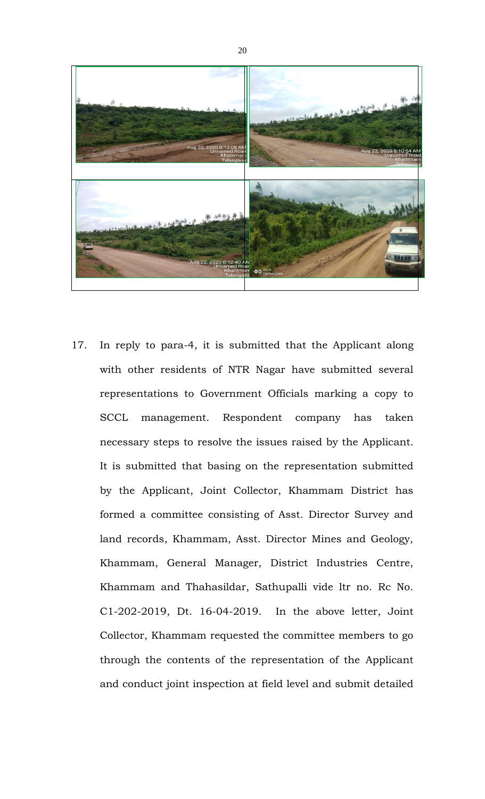

17. In reply to para-4, it is submitted that the Applicant along with other residents of NTR Nagar have submitted several representations to Government Officials marking a copy to SCCL management. Respondent company has taken necessary steps to resolve the issues raised by the Applicant. It is submitted that basing on the representation submitted by the Applicant, Joint Collector, Khammam District has formed a committee consisting of Asst. Director Survey and land records, Khammam, Asst. Director Mines and Geology, Khammam, General Manager, District Industries Centre, Khammam and Thahasildar, Sathupalli vide ltr no. Rc No. C1-202-2019, Dt. 16-04-2019. In the above letter, Joint Collector, Khammam requested the committee members to go through the contents of the representation of the Applicant and conduct joint inspection at field level and submit detailed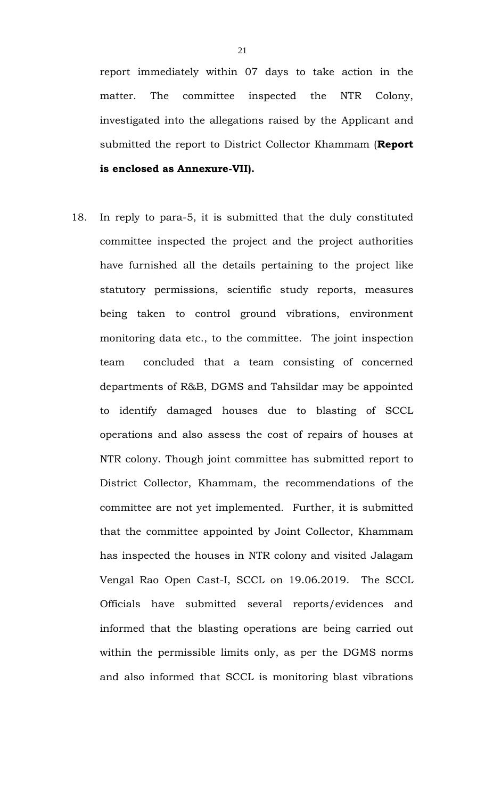report immediately within 07 days to take action in the matter. The committee inspected the NTR Colony, investigated into the allegations raised by the Applicant and submitted the report to District Collector Khammam (**Report is enclosed as Annexure-VII).**

18. In reply to para-5, it is submitted that the duly constituted committee inspected the project and the project authorities have furnished all the details pertaining to the project like statutory permissions, scientific study reports, measures being taken to control ground vibrations, environment monitoring data etc., to the committee. The joint inspection team concluded that a team consisting of concerned departments of R&B, DGMS and Tahsildar may be appointed to identify damaged houses due to blasting of SCCL operations and also assess the cost of repairs of houses at NTR colony. Though joint committee has submitted report to District Collector, Khammam, the recommendations of the committee are not yet implemented. Further, it is submitted that the committee appointed by Joint Collector, Khammam has inspected the houses in NTR colony and visited Jalagam Vengal Rao Open Cast-I, SCCL on 19.06.2019. The SCCL Officials have submitted several reports/evidences and informed that the blasting operations are being carried out within the permissible limits only, as per the DGMS norms and also informed that SCCL is monitoring blast vibrations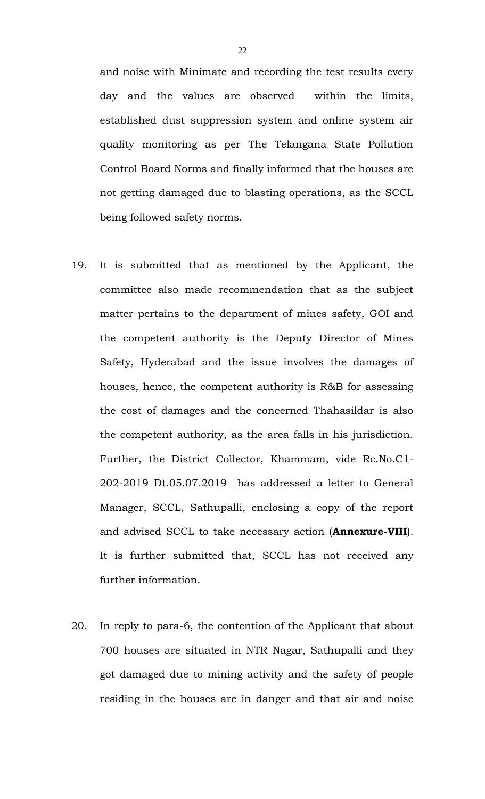and noise with Minimate and recording the test results every day and the values are observed within the limits, established dust suppression system and online system air quality monitoring as per The Telangana State Pollution Control Board Norms and finally informed that the houses are not getting damaged due to blasting operations, as the SCCL being followed safety norms.

- 19. It is submitted that as mentioned by the Applicant, the committee also made recommendation that as the subject matter pertains to the department of mines safety, GOI and the competent authority is the Deputy Director of Mines Safety, Hyderabad and the issue involves the damages of houses, hence, the competent authority is R&B for assessing the cost of damages and the concerned Thahasildar is also the competent authority, as the area falls in his jurisdiction. Further, the District Collector, Khammam, vide Rc.No.C1- 202-2019 Dt.05.07.2019 has addressed a letter to General Manager, SCCL, Sathupalli, enclosing a copy of the report and advised SCCL to take necessary action (**Annexure-VIII**). It is further submitted that, SCCL has not received any further information.
- 20. In reply to para-6, the contention of the Applicant that about 700 houses are situated in NTR Nagar, Sathupalli and they got damaged due to mining activity and the safety of people residing in the houses are in danger and that air and noise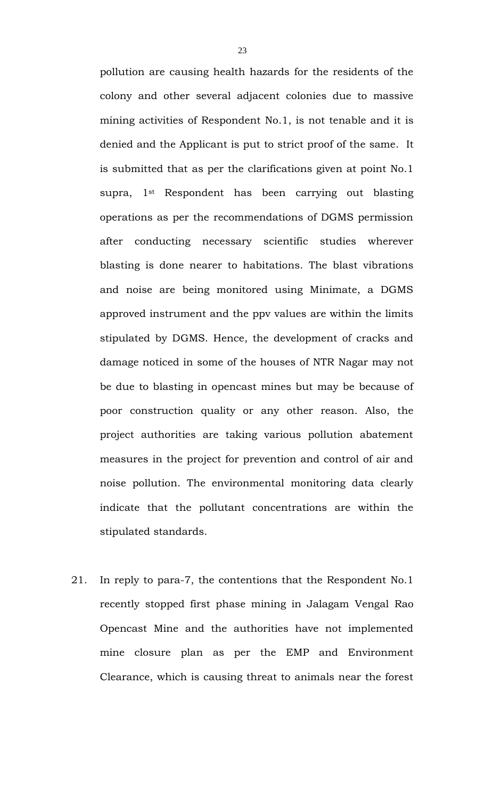pollution are causing health hazards for the residents of the colony and other several adjacent colonies due to massive mining activities of Respondent No.1, is not tenable and it is denied and the Applicant is put to strict proof of the same. It is submitted that as per the clarifications given at point No.1 supra, 1st Respondent has been carrying out blasting operations as per the recommendations of DGMS permission after conducting necessary scientific studies wherever blasting is done nearer to habitations. The blast vibrations and noise are being monitored using Minimate, a DGMS approved instrument and the ppv values are within the limits stipulated by DGMS. Hence, the development of cracks and damage noticed in some of the houses of NTR Nagar may not be due to blasting in opencast mines but may be because of poor construction quality or any other reason. Also, the project authorities are taking various pollution abatement measures in the project for prevention and control of air and noise pollution. The environmental monitoring data clearly indicate that the pollutant concentrations are within the stipulated standards.

21. In reply to para-7, the contentions that the Respondent No.1 recently stopped first phase mining in Jalagam Vengal Rao Opencast Mine and the authorities have not implemented mine closure plan as per the EMP and Environment Clearance, which is causing threat to animals near the forest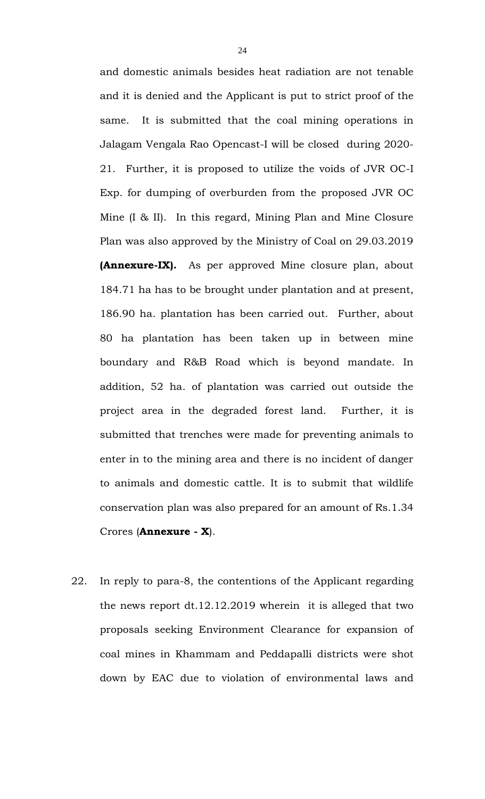and domestic animals besides heat radiation are not tenable and it is denied and the Applicant is put to strict proof of the same. It is submitted that the coal mining operations in Jalagam Vengala Rao Opencast-I will be closed during 2020- 21. Further, it is proposed to utilize the voids of JVR OC-I Exp. for dumping of overburden from the proposed JVR OC Mine (I & II). In this regard, Mining Plan and Mine Closure Plan was also approved by the Ministry of Coal on 29.03.2019 **(Annexure-IX).** As per approved Mine closure plan, about 184.71 ha has to be brought under plantation and at present, 186.90 ha. plantation has been carried out. Further, about 80 ha plantation has been taken up in between mine boundary and R&B Road which is beyond mandate. In addition, 52 ha. of plantation was carried out outside the project area in the degraded forest land. Further, it is submitted that trenches were made for preventing animals to enter in to the mining area and there is no incident of danger to animals and domestic cattle. It is to submit that wildlife conservation plan was also prepared for an amount of Rs.1.34 Crores (**Annexure - X**).

22. In reply to para-8, the contentions of the Applicant regarding the news report dt.12.12.2019 wherein it is alleged that two proposals seeking Environment Clearance for expansion of coal mines in Khammam and Peddapalli districts were shot down by EAC due to violation of environmental laws and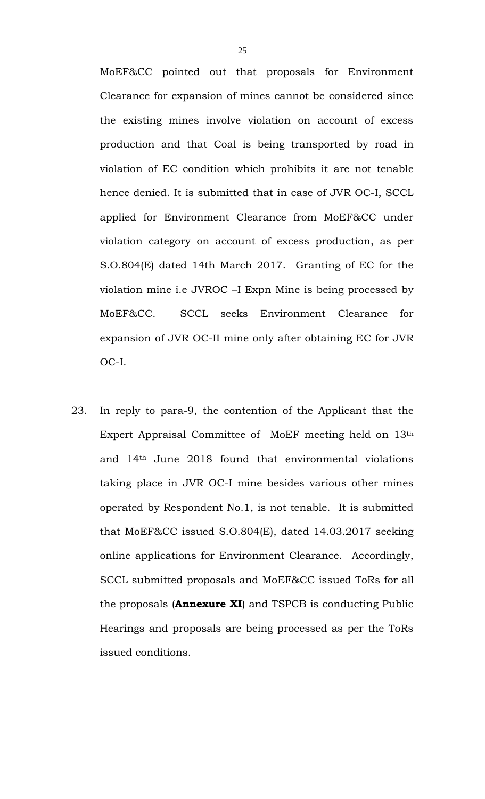MoEF&CC pointed out that proposals for Environment Clearance for expansion of mines cannot be considered since the existing mines involve violation on account of excess production and that Coal is being transported by road in violation of EC condition which prohibits it are not tenable hence denied. It is submitted that in case of JVR OC-I, SCCL applied for Environment Clearance from MoEF&CC under violation category on account of excess production, as per S.O.804(E) dated 14th March 2017. Granting of EC for the violation mine i.e JVROC –I Expn Mine is being processed by MoEF&CC. SCCL seeks Environment Clearance for expansion of JVR OC-II mine only after obtaining EC for JVR OC-I.

23. In reply to para-9, the contention of the Applicant that the Expert Appraisal Committee of MoEF meeting held on 13th and 14th June 2018 found that environmental violations taking place in JVR OC-I mine besides various other mines operated by Respondent No.1, is not tenable. It is submitted that MoEF&CC issued S.O.804(E), dated 14.03.2017 seeking online applications for Environment Clearance. Accordingly, SCCL submitted proposals and MoEF&CC issued ToRs for all the proposals (**Annexure XI**) and TSPCB is conducting Public Hearings and proposals are being processed as per the ToRs issued conditions.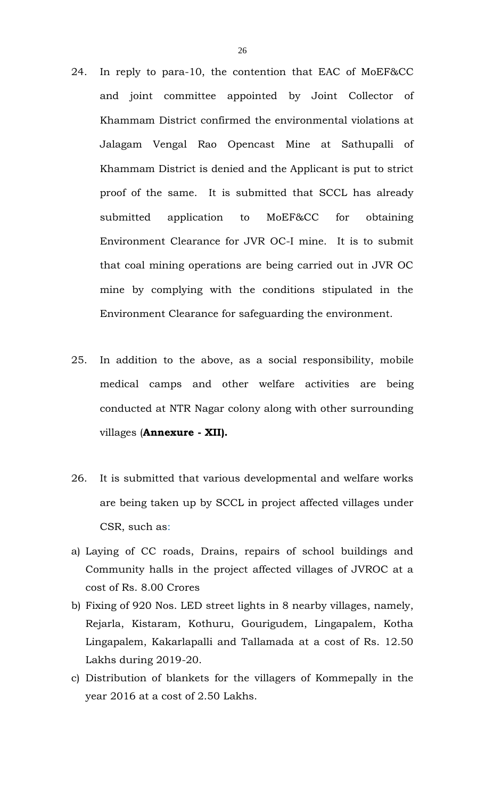- 24. In reply to para-10, the contention that EAC of MoEF&CC and joint committee appointed by Joint Collector of Khammam District confirmed the environmental violations at Jalagam Vengal Rao Opencast Mine at Sathupalli of Khammam District is denied and the Applicant is put to strict proof of the same. It is submitted that SCCL has already submitted application to MoEF&CC for obtaining Environment Clearance for JVR OC-I mine. It is to submit that coal mining operations are being carried out in JVR OC mine by complying with the conditions stipulated in the Environment Clearance for safeguarding the environment.
- 25. In addition to the above, as a social responsibility, mobile medical camps and other welfare activities are being conducted at NTR Nagar colony along with other surrounding villages (**Annexure - XII).**
- 26. It is submitted that various developmental and welfare works are being taken up by SCCL in project affected villages under CSR, such as:
- a) Laying of CC roads, Drains, repairs of school buildings and Community halls in the project affected villages of JVROC at a cost of Rs. 8.00 Crores
- b) Fixing of 920 Nos. LED street lights in 8 nearby villages, namely, Rejarla, Kistaram, Kothuru, Gourigudem, Lingapalem, Kotha Lingapalem, Kakarlapalli and Tallamada at a cost of Rs. 12.50 Lakhs during 2019-20.
- c) Distribution of blankets for the villagers of Kommepally in the year 2016 at a cost of 2.50 Lakhs.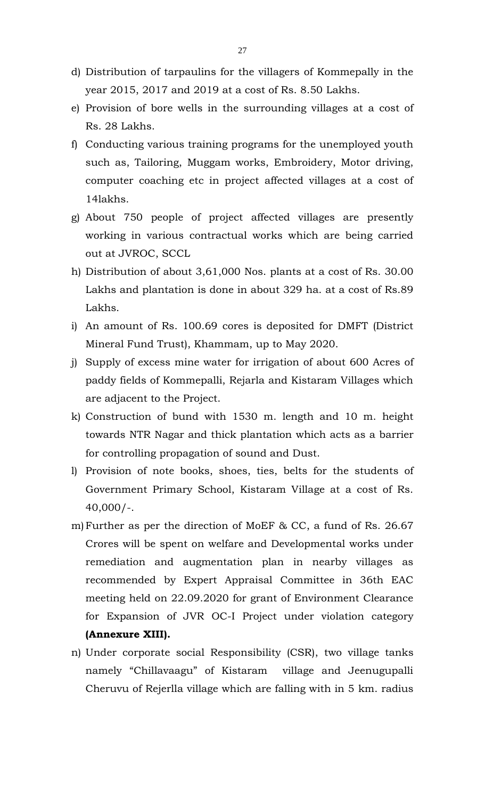- d) Distribution of tarpaulins for the villagers of Kommepally in the year 2015, 2017 and 2019 at a cost of Rs. 8.50 Lakhs.
- e) Provision of bore wells in the surrounding villages at a cost of Rs. 28 Lakhs.
- f) Conducting various training programs for the unemployed youth such as, Tailoring, Muggam works, Embroidery, Motor driving, computer coaching etc in project affected villages at a cost of 14lakhs.
- g) About 750 people of project affected villages are presently working in various contractual works which are being carried out at JVROC, SCCL
- h) Distribution of about 3,61,000 Nos. plants at a cost of Rs. 30.00 Lakhs and plantation is done in about 329 ha. at a cost of Rs.89 Lakhs.
- i) An amount of Rs. 100.69 cores is deposited for DMFT (District Mineral Fund Trust), Khammam, up to May 2020.
- j) Supply of excess mine water for irrigation of about 600 Acres of paddy fields of Kommepalli, Rejarla and Kistaram Villages which are adjacent to the Project.
- k) Construction of bund with 1530 m. length and 10 m. height towards NTR Nagar and thick plantation which acts as a barrier for controlling propagation of sound and Dust.
- l) Provision of note books, shoes, ties, belts for the students of Government Primary School, Kistaram Village at a cost of Rs. 40,000/-.
- m)Further as per the direction of MoEF & CC, a fund of Rs. 26.67 Crores will be spent on welfare and Developmental works under remediation and augmentation plan in nearby villages as recommended by Expert Appraisal Committee in 36th EAC meeting held on 22.09.2020 for grant of Environment Clearance for Expansion of JVR OC-I Project under violation category **(Annexure XIII).**
- n) Under corporate social Responsibility (CSR), two village tanks namely "Chillavaagu" of Kistaram village and Jeenugupalli Cheruvu of Rejerlla village which are falling with in 5 km. radius